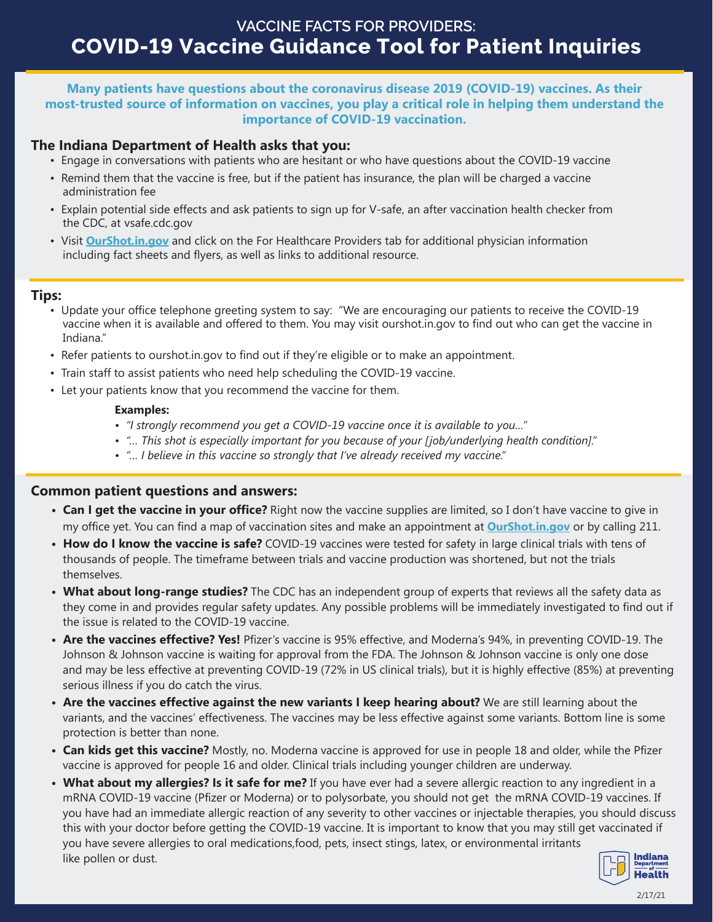# **VACCINE FACTS FOR PROVIDERS: COVID-19 Vaccine Guidance Tool for Patient Inquiries**

### **Many patients have questions about the coronavirus disease 2019 (COVID-19) vaccines. As their most-trusted source of information on vaccines, you play a critical role in helping them understand the importance of COVID-19 vaccination.**

## **The Indiana Department of Health asks that you:**

- Engage in conversations with patients who are hesitant or who have questions about the COVID-19 vaccine
- Remind them that the vaccine is free, but if the patient has insurance, the plan will be charged a vaccine administration fee
- Explain potential side effects and ask patients to sign up for V-safe, an after vaccination health checker from the CDC, at vsafe.cdc.gov
- Visit **<OurShot.in.gov>** and click on the For Healthcare Providers tab for additional physician information including fact sheets and flyers, as well as links to additional resource.

## **Tips:**

- Update your office telephone greeting system to say: "We are encouraging our patients to receive the COVID-19 vaccine when it is available and offered to them. You may visit ourshot.in.gov to find out who can get the vaccine in Indiana."
- Refer patients to ourshot.in.gov to find out if they're eligible or to make an appointment.
- Train staff to assist patients who need help scheduling the COVID-19 vaccine.
- Let your patients know that you recommend the vaccine for them.

#### **Examples:**

- *"I strongly recommend you get a COVID-19 vaccine once it is available to you…"*
- *"… This shot is especially important for you because of your [job/underlying health condition]."*
- *"… I believe in this vaccine so strongly that I've already received my vaccine."*

## **Common patient questions and answers:**

- **Can I get the vaccine in your office?** Right now the vaccine supplies are limited, so I don't have vaccine to give in my office yet. You can find a map of vaccination sites and make an appointment at **<OurShot.in.gov>** or by calling 211.
- **How do I know the vaccine is safe?** COVID-19 vaccines were tested for safety in large clinical trials with tens of thousands of people. The timeframe between trials and vaccine production was shortened, but not the trials themselves.
- **What about long-range studies?** The CDC has an independent group of experts that reviews all the safety data as they come in and provides regular safety updates. Any possible problems will be immediately investigated to find out if the issue is related to the COVID-19 vaccine.
- **Are the vaccines effective? Yes!** Pfizer's vaccine is 95% effective, and Moderna's 94%, in preventing COVID-19. The Johnson & Johnson vaccine is waiting for approval from the FDA. The Johnson & Johnson vaccine is only one dose and may be less effective at preventing COVID-19 (72% in US clinical trials), but it is highly effective (85%) at preventing serious illness if you do catch the virus.
- **Are the vaccines effective against the new variants I keep hearing about?** We are still learning about the variants, and the vaccines' effectiveness. The vaccines may be less effective against some variants. Bottom line is some protection is better than none.
- **Can kids get this vaccine?** Mostly, no. Moderna vaccine is approved for use in people 18 and older, while the Pfizer vaccine is approved for people 16 and older. Clinical trials including younger children are underway.
- **What about my allergies? Is it safe for me?** If you have ever had a severe allergic reaction to any ingredient in a mRNA COVID-19 vaccine (Pfizer or Moderna) or to polysorbate, you should not get the mRNA COVID-19 vaccines. If you have had an immediate allergic reaction of any severity to other vaccines or injectable therapies, you should discuss this with your doctor before getting the COVID-19 vaccine. It is important to know that you may still get vaccinated if you have severe allergies to oral medications,food, pets, insect stings, latex, or environmental irritants **Indiana** like pollen or dust.